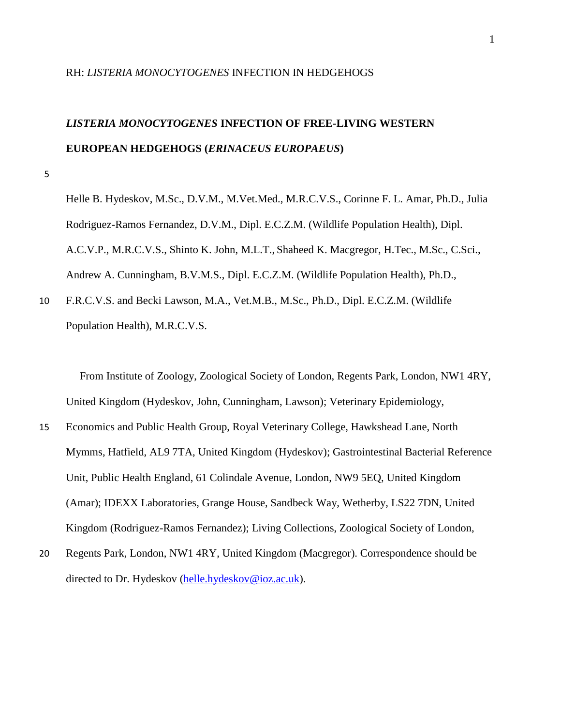## RH: *LISTERIA MONOCYTOGENES* INFECTION IN HEDGEHOGS

# *LISTERIA MONOCYTOGENES* **INFECTION OF FREE-LIVING WESTERN EUROPEAN HEDGEHOGS (***ERINACEUS EUROPAEUS***)**

5

Helle B. Hydeskov, M.Sc., D.V.M., M.Vet.Med., M.R.C.V.S., Corinne F. L. Amar, Ph.D., Julia Rodriguez-Ramos Fernandez, D.V.M., Dipl. E.C.Z.M. (Wildlife Population Health), Dipl. A.C.V.P., M.R.C.V.S., Shinto K. John, M.L.T., Shaheed K. Macgregor, H.Tec., M.Sc., C.Sci., Andrew A. Cunningham, B.V.M.S., Dipl. E.C.Z.M. (Wildlife Population Health), Ph.D.,

10 F.R.C.V.S. and Becki Lawson, M.A., Vet.M.B., M.Sc., Ph.D., Dipl. E.C.Z.M. (Wildlife Population Health), M.R.C.V.S.

 From Institute of Zoology, Zoological Society of London, Regents Park, London, NW1 4RY, United Kingdom (Hydeskov, John, Cunningham, Lawson); Veterinary Epidemiology,

- 15 Economics and Public Health Group, Royal Veterinary College, Hawkshead Lane, North Mymms, Hatfield, AL9 7TA, United Kingdom (Hydeskov); Gastrointestinal Bacterial Reference Unit, Public Health England, 61 Colindale Avenue, London, NW9 5EQ, United Kingdom (Amar); IDEXX Laboratories, Grange House, Sandbeck Way, Wetherby, LS22 7DN, United Kingdom (Rodriguez-Ramos Fernandez); Living Collections, Zoological Society of London,
- 20 Regents Park, London, NW1 4RY, United Kingdom (Macgregor). Correspondence should be directed to Dr. Hydeskov [\(helle.hydeskov@ioz.ac.uk\)](mailto:helle.hydeskov@ioz.ac.uk).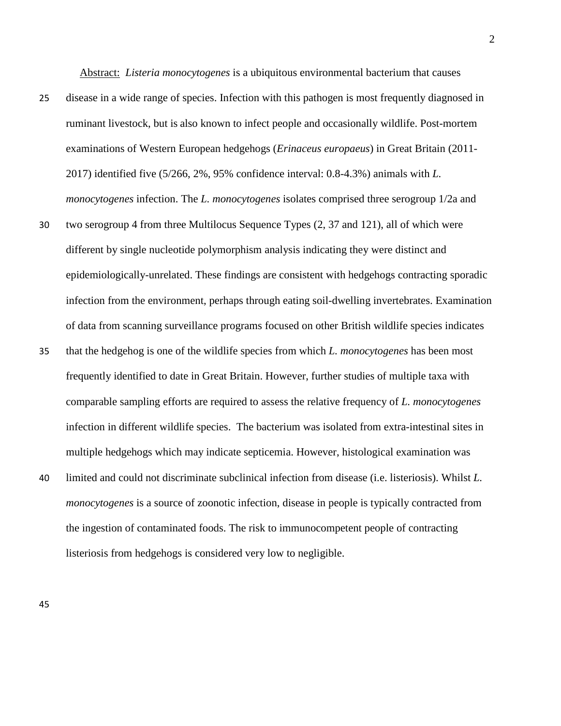Abstract: *Listeria monocytogenes* is a ubiquitous environmental bacterium that causes

- 25 disease in a wide range of species. Infection with this pathogen is most frequently diagnosed in ruminant livestock, but is also known to infect people and occasionally wildlife. Post-mortem examinations of Western European hedgehogs (*Erinaceus europaeus*) in Great Britain (2011- 2017) identified five (5/266, 2%, 95% confidence interval: 0.8-4.3%) animals with *L. monocytogenes* infection. The *L. monocytogenes* isolates comprised three serogroup 1/2a and
- 30 two serogroup 4 from three Multilocus Sequence Types (2, 37 and 121), all of which were different by single nucleotide polymorphism analysis indicating they were distinct and epidemiologically-unrelated. These findings are consistent with hedgehogs contracting sporadic infection from the environment, perhaps through eating soil-dwelling invertebrates. Examination of data from scanning surveillance programs focused on other British wildlife species indicates
- 35 that the hedgehog is one of the wildlife species from which *L. monocytogenes* has been most frequently identified to date in Great Britain. However, further studies of multiple taxa with comparable sampling efforts are required to assess the relative frequency of *L. monocytogenes* infection in different wildlife species. The bacterium was isolated from extra-intestinal sites in multiple hedgehogs which may indicate septicemia. However, histological examination was
- 40 limited and could not discriminate subclinical infection from disease (i.e. listeriosis). Whilst *L. monocytogenes* is a source of zoonotic infection, disease in people is typically contracted from the ingestion of contaminated foods. The risk to immunocompetent people of contracting listeriosis from hedgehogs is considered very low to negligible.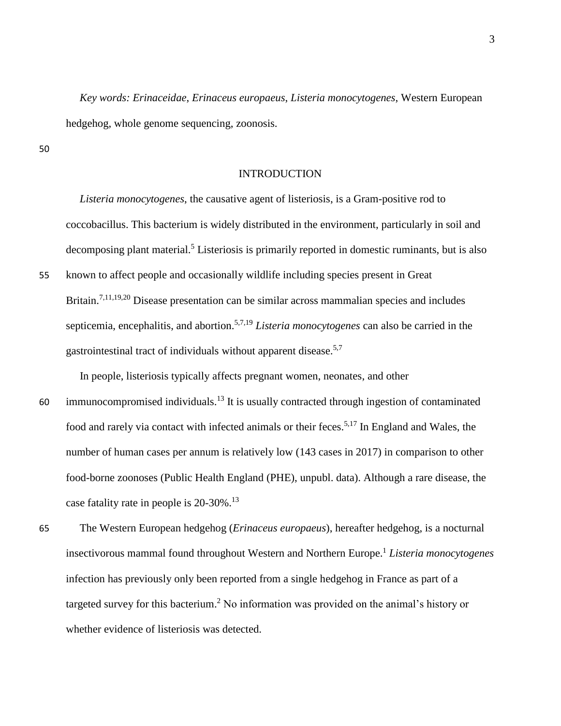*Key words: Erinaceidae*, *Erinaceus europaeus*, *Listeria monocytogenes*, Western European hedgehog, whole genome sequencing, zoonosis.

50

## INTRODUCTION

 *Listeria monocytogenes*, the causative agent of listeriosis, is a Gram-positive rod to coccobacillus. This bacterium is widely distributed in the environment, particularly in soil and decomposing plant material.<sup>5</sup> Listeriosis is primarily reported in domestic ruminants, but is also

55 known to affect people and occasionally wildlife including species present in Great Britain.<sup>7,11,19,20</sup> Disease presentation can be similar across mammalian species and includes septicemia, encephalitis, and abortion.5,7,19 *Listeria monocytogenes* can also be carried in the gastrointestinal tract of individuals without apparent disease.<sup>5,7</sup>

In people, listeriosis typically affects pregnant women, neonates, and other

- 60 immunocompromised individuals.<sup>13</sup> It is usually contracted through ingestion of contaminated food and rarely via contact with infected animals or their feces.<sup>5,17</sup> In England and Wales, the number of human cases per annum is relatively low (143 cases in 2017) in comparison to other food-borne zoonoses (Public Health England (PHE), unpubl. data). Although a rare disease, the case fatality rate in people is 20-30%.<sup>13</sup>
- 65 The Western European hedgehog (*Erinaceus europaeus*), hereafter hedgehog, is a nocturnal insectivorous mammal found throughout Western and Northern Europe. <sup>1</sup> *Listeria monocytogenes* infection has previously only been reported from a single hedgehog in France as part of a targeted survey for this bacterium. <sup>2</sup> No information was provided on the animal's history or whether evidence of listeriosis was detected.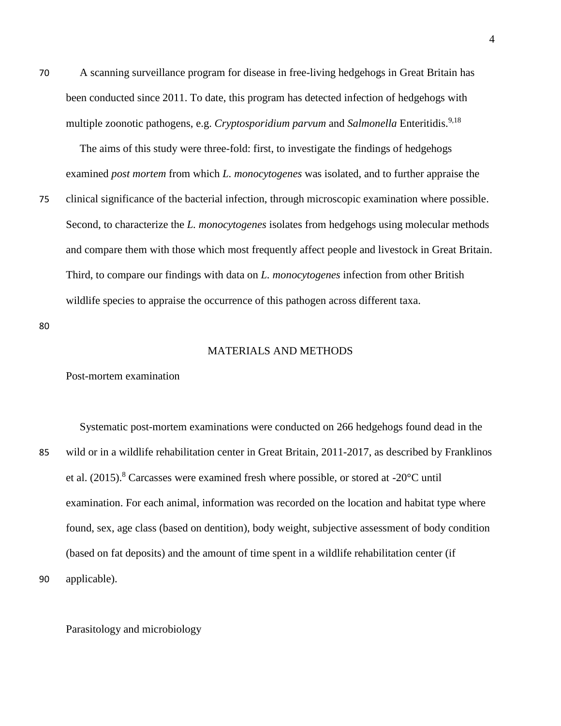70 A scanning surveillance program for disease in free-living hedgehogs in Great Britain has been conducted since 2011. To date, this program has detected infection of hedgehogs with multiple zoonotic pathogens, e.g. *Cryptosporidium parvum* and *Salmonella* Enteritidis.<sup>9,18</sup>

 The aims of this study were three-fold: first, to investigate the findings of hedgehogs examined *post mortem* from which *L. monocytogenes* was isolated, and to further appraise the

75 clinical significance of the bacterial infection, through microscopic examination where possible. Second, to characterize the *L. monocytogenes* isolates from hedgehogs using molecular methods and compare them with those which most frequently affect people and livestock in Great Britain. Third, to compare our findings with data on *L. monocytogenes* infection from other British wildlife species to appraise the occurrence of this pathogen across different taxa.

80

#### MATERIALS AND METHODS

### Post-mortem examination

 Systematic post-mortem examinations were conducted on 266 hedgehogs found dead in the 85 wild or in a wildlife rehabilitation center in Great Britain, 2011-2017, as described by Franklinos et al.  $(2015)$ .<sup>8</sup> Carcasses were examined fresh where possible, or stored at -20 $\degree$ C until examination. For each animal, information was recorded on the location and habitat type where found, sex, age class (based on dentition), body weight, subjective assessment of body condition (based on fat deposits) and the amount of time spent in a wildlife rehabilitation center (if 90 applicable).

Parasitology and microbiology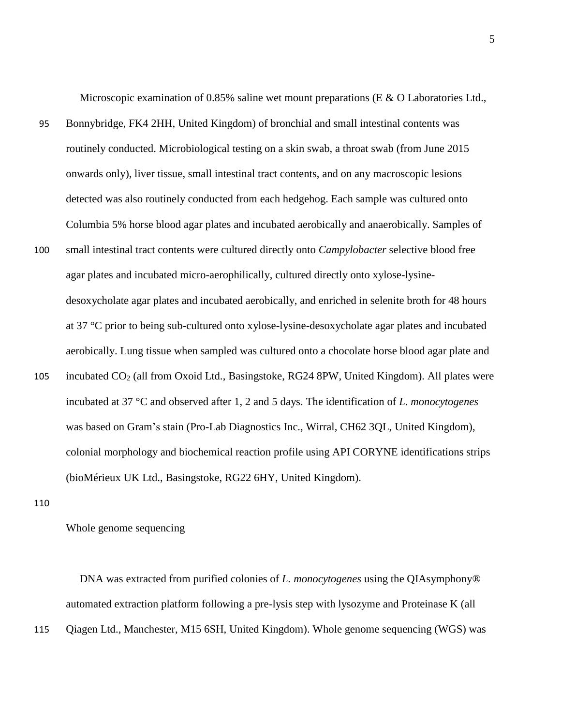Microscopic examination of 0.85% saline wet mount preparations (E & O Laboratories Ltd.,

- 95 Bonnybridge, FK4 2HH, United Kingdom) of bronchial and small intestinal contents was routinely conducted. Microbiological testing on a skin swab, a throat swab (from June 2015 onwards only), liver tissue, small intestinal tract contents, and on any macroscopic lesions detected was also routinely conducted from each hedgehog. Each sample was cultured onto Columbia 5% horse blood agar plates and incubated aerobically and anaerobically. Samples of
- 100 small intestinal tract contents were cultured directly onto *Campylobacter* selective blood free agar plates and incubated micro-aerophilically, cultured directly onto xylose-lysinedesoxycholate agar plates and incubated aerobically, and enriched in selenite broth for 48 hours at 37 °C prior to being sub-cultured onto xylose-lysine-desoxycholate agar plates and incubated aerobically. Lung tissue when sampled was cultured onto a chocolate horse blood agar plate and
- 105 incubated  $CO_2$  (all from Oxoid Ltd., Basingstoke, RG24 8PW, United Kingdom). All plates were incubated at 37 °C and observed after 1, 2 and 5 days. The identification of *L. monocytogenes* was based on Gram's stain (Pro-Lab Diagnostics Inc., Wirral, CH62 3QL, United Kingdom), colonial morphology and biochemical reaction profile using API CORYNE identifications strips (bioMérieux UK Ltd., Basingstoke, RG22 6HY, United Kingdom).

110

Whole genome sequencing

 DNA was extracted from purified colonies of *L. monocytogenes* using the QIAsymphony® automated extraction platform following a pre-lysis step with lysozyme and Proteinase K (all

115 Qiagen Ltd., Manchester, M15 6SH, United Kingdom). Whole genome sequencing (WGS) was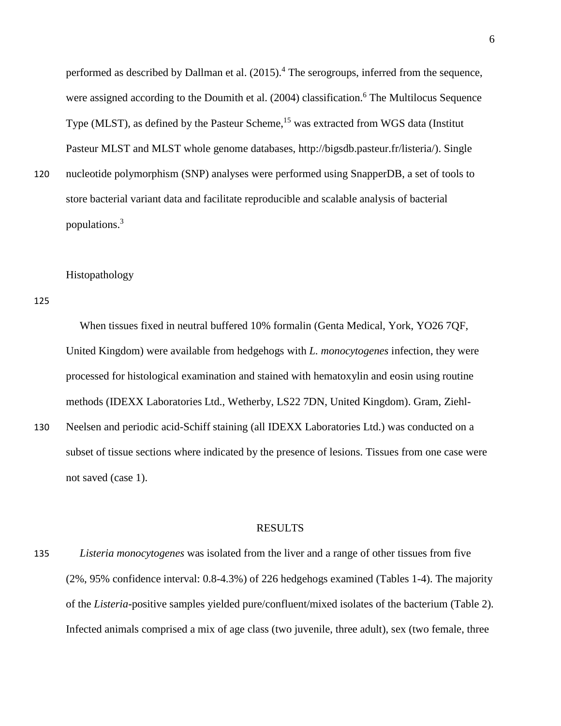performed as described by Dallman et al. (2015).<sup>4</sup> The serogroups, inferred from the sequence, were assigned according to the Doumith et al. (2004) classification.<sup>6</sup> The Multilocus Sequence Type (MLST), as defined by the Pasteur Scheme,<sup>15</sup> was extracted from WGS data (Institut) Pasteur MLST and MLST whole genome databases, http://bigsdb.pasteur.fr/listeria/). Single

120 nucleotide polymorphism (SNP) analyses were performed using SnapperDB, a set of tools to store bacterial variant data and facilitate reproducible and scalable analysis of bacterial populations. 3

### Histopathology

125

 When tissues fixed in neutral buffered 10% formalin (Genta Medical, York, YO26 7QF, United Kingdom) were available from hedgehogs with *L. monocytogenes* infection, they were processed for histological examination and stained with hematoxylin and eosin using routine methods (IDEXX Laboratories Ltd., Wetherby, LS22 7DN, United Kingdom). Gram, Ziehl-

130 Neelsen and periodic acid-Schiff staining (all IDEXX Laboratories Ltd.) was conducted on a subset of tissue sections where indicated by the presence of lesions. Tissues from one case were not saved (case 1).

#### RESULTS

135 *Listeria monocytogenes* was isolated from the liver and a range of other tissues from five (2%, 95% confidence interval: 0.8-4.3%) of 226 hedgehogs examined (Tables 1-4). The majority of the *Listeria*-positive samples yielded pure/confluent/mixed isolates of the bacterium (Table 2). Infected animals comprised a mix of age class (two juvenile, three adult), sex (two female, three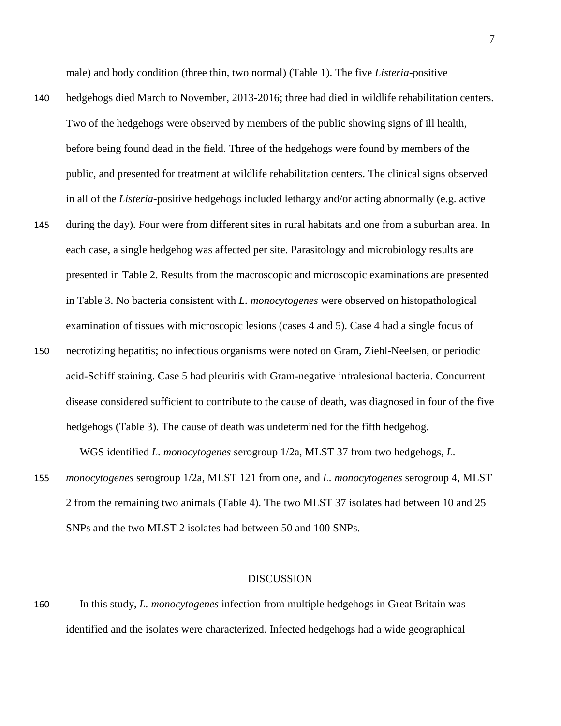male) and body condition (three thin, two normal) (Table 1). The five *Listeria*-positive

- 140 hedgehogs died March to November, 2013-2016; three had died in wildlife rehabilitation centers. Two of the hedgehogs were observed by members of the public showing signs of ill health, before being found dead in the field. Three of the hedgehogs were found by members of the public, and presented for treatment at wildlife rehabilitation centers. The clinical signs observed in all of the *Listeria*-positive hedgehogs included lethargy and/or acting abnormally (e.g. active
- 145 during the day). Four were from different sites in rural habitats and one from a suburban area. In each case, a single hedgehog was affected per site. Parasitology and microbiology results are presented in Table 2. Results from the macroscopic and microscopic examinations are presented in Table 3. No bacteria consistent with *L. monocytogenes* were observed on histopathological examination of tissues with microscopic lesions (cases 4 and 5). Case 4 had a single focus of
- 150 necrotizing hepatitis; no infectious organisms were noted on Gram, Ziehl-Neelsen, or periodic acid-Schiff staining. Case 5 had pleuritis with Gram-negative intralesional bacteria. Concurrent disease considered sufficient to contribute to the cause of death, was diagnosed in four of the five hedgehogs (Table 3). The cause of death was undetermined for the fifth hedgehog.

WGS identified *L. monocytogenes* serogroup 1/2a, MLST 37 from two hedgehogs, *L.* 

155 *monocytogenes* serogroup 1/2a, MLST 121 from one, and *L. monocytogenes* serogroup 4, MLST 2 from the remaining two animals (Table 4). The two MLST 37 isolates had between 10 and 25 SNPs and the two MLST 2 isolates had between 50 and 100 SNPs.

#### DISCUSSION

160 In this study, *L. monocytogenes* infection from multiple hedgehogs in Great Britain was identified and the isolates were characterized. Infected hedgehogs had a wide geographical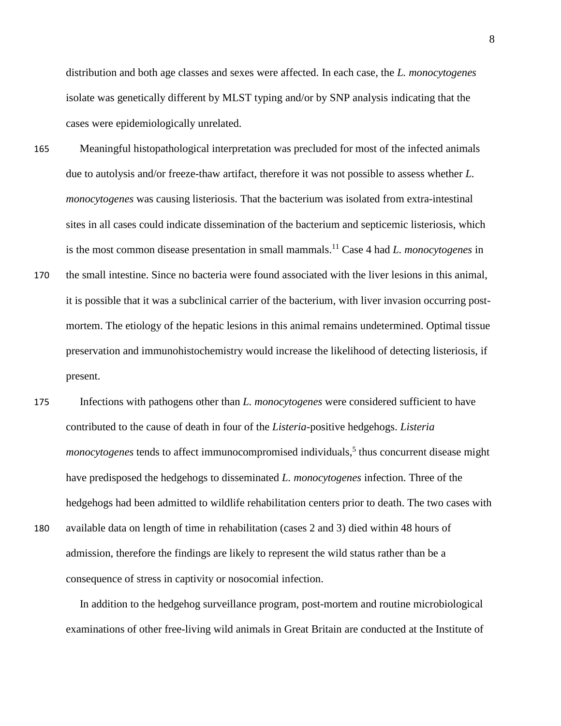distribution and both age classes and sexes were affected. In each case, the *L. monocytogenes* isolate was genetically different by MLST typing and/or by SNP analysis indicating that the cases were epidemiologically unrelated.

- 165 Meaningful histopathological interpretation was precluded for most of the infected animals due to autolysis and/or freeze-thaw artifact, therefore it was not possible to assess whether *L. monocytogenes* was causing listeriosis. That the bacterium was isolated from extra-intestinal sites in all cases could indicate dissemination of the bacterium and septicemic listeriosis, which is the most common disease presentation in small mammals. <sup>11</sup> Case 4 had *L. monocytogenes* in
- 170 the small intestine. Since no bacteria were found associated with the liver lesions in this animal, it is possible that it was a subclinical carrier of the bacterium, with liver invasion occurring postmortem. The etiology of the hepatic lesions in this animal remains undetermined. Optimal tissue preservation and immunohistochemistry would increase the likelihood of detecting listeriosis, if present.
- 175 Infections with pathogens other than *L. monocytogenes* were considered sufficient to have contributed to the cause of death in four of the *Listeria*-positive hedgehogs. *Listeria monocytogenes* tends to affect immunocompromised individuals,<sup>5</sup> thus concurrent disease might have predisposed the hedgehogs to disseminated *L. monocytogenes* infection. Three of the hedgehogs had been admitted to wildlife rehabilitation centers prior to death. The two cases with 180 available data on length of time in rehabilitation (cases 2 and 3) died within 48 hours of admission, therefore the findings are likely to represent the wild status rather than be a consequence of stress in captivity or nosocomial infection.

 In addition to the hedgehog surveillance program, post-mortem and routine microbiological examinations of other free-living wild animals in Great Britain are conducted at the Institute of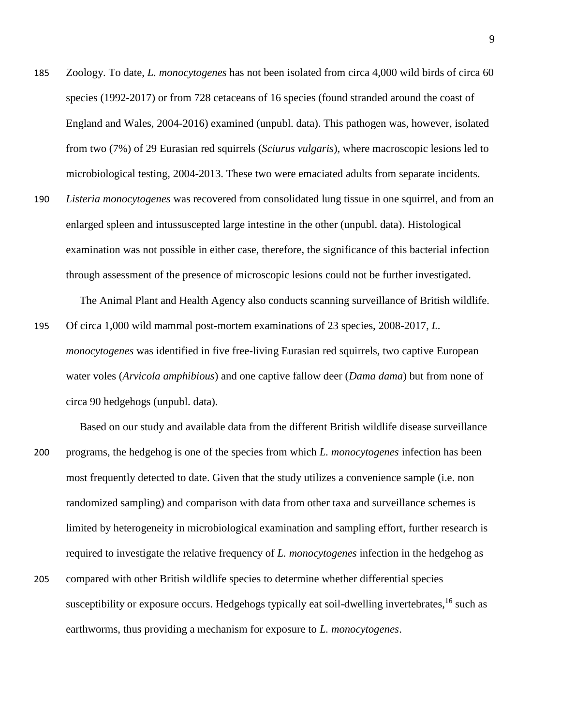- 185 Zoology. To date, *L. monocytogenes* has not been isolated from circa 4,000 wild birds of circa 60 species (1992-2017) or from 728 cetaceans of 16 species (found stranded around the coast of England and Wales, 2004-2016) examined (unpubl. data). This pathogen was, however, isolated from two (7%) of 29 Eurasian red squirrels (*Sciurus vulgaris*), where macroscopic lesions led to microbiological testing, 2004-2013. These two were emaciated adults from separate incidents.
- 190 *Listeria monocytogenes* was recovered from consolidated lung tissue in one squirrel, and from an enlarged spleen and intussuscepted large intestine in the other (unpubl. data). Histological examination was not possible in either case, therefore, the significance of this bacterial infection through assessment of the presence of microscopic lesions could not be further investigated.

The Animal Plant and Health Agency also conducts scanning surveillance of British wildlife.

195 Of circa 1,000 wild mammal post-mortem examinations of 23 species, 2008-2017, *L. monocytogenes* was identified in five free-living Eurasian red squirrels, two captive European water voles (*Arvicola amphibious*) and one captive fallow deer (*Dama dama*) but from none of circa 90 hedgehogs (unpubl. data).

 Based on our study and available data from the different British wildlife disease surveillance 200 programs, the hedgehog is one of the species from which *L. monocytogenes* infection has been most frequently detected to date. Given that the study utilizes a convenience sample (i.e. non randomized sampling) and comparison with data from other taxa and surveillance schemes is limited by heterogeneity in microbiological examination and sampling effort, further research is required to investigate the relative frequency of *L. monocytogenes* infection in the hedgehog as

205 compared with other British wildlife species to determine whether differential species susceptibility or exposure occurs. Hedgehogs typically eat soil-dwelling invertebrates,  $16$  such as earthworms, thus providing a mechanism for exposure to *L. monocytogenes*.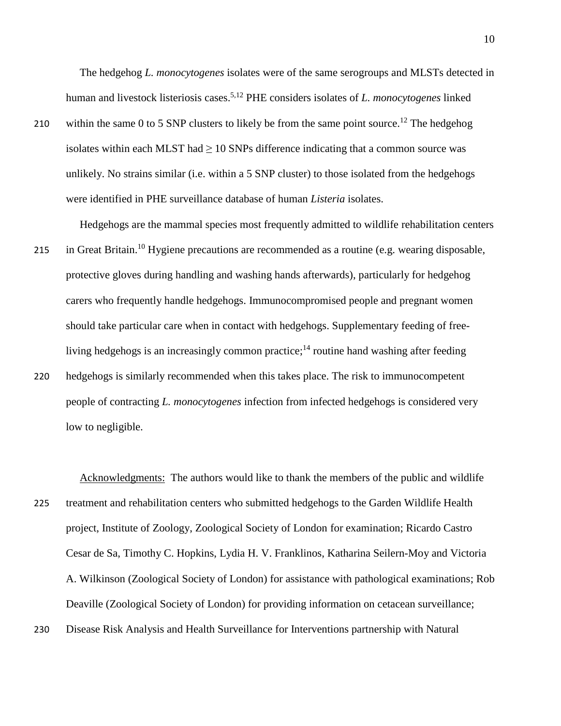The hedgehog *L. monocytogenes* isolates were of the same serogroups and MLSTs detected in human and livestock listeriosis cases. 5,12 PHE considers isolates of *L. monocytogenes* linked

210 within the same 0 to 5 SNP clusters to likely be from the same point source.<sup>12</sup> The hedgehog isolates within each MLST had  $\geq 10$  SNPs difference indicating that a common source was unlikely. No strains similar (i.e. within a 5 SNP cluster) to those isolated from the hedgehogs were identified in PHE surveillance database of human *Listeria* isolates.

Hedgehogs are the mammal species most frequently admitted to wildlife rehabilitation centers

- 215 in Great Britain.<sup>10</sup> Hygiene precautions are recommended as a routine (e.g. wearing disposable, protective gloves during handling and washing hands afterwards), particularly for hedgehog carers who frequently handle hedgehogs. Immunocompromised people and pregnant women should take particular care when in contact with hedgehogs. Supplementary feeding of freeliving hedgehogs is an increasingly common practice;<sup>14</sup> routine hand washing after feeding
- 220 hedgehogs is similarly recommended when this takes place. The risk to immunocompetent people of contracting *L. monocytogenes* infection from infected hedgehogs is considered very low to negligible.

 Acknowledgments: The authors would like to thank the members of the public and wildlife 225 treatment and rehabilitation centers who submitted hedgehogs to the Garden Wildlife Health project, Institute of Zoology, Zoological Society of London for examination; Ricardo Castro Cesar de Sa, Timothy C. Hopkins, Lydia H. V. Franklinos, Katharina Seilern-Moy and Victoria A. Wilkinson (Zoological Society of London) for assistance with pathological examinations; Rob Deaville (Zoological Society of London) for providing information on cetacean surveillance;

230 Disease Risk Analysis and Health Surveillance for Interventions partnership with Natural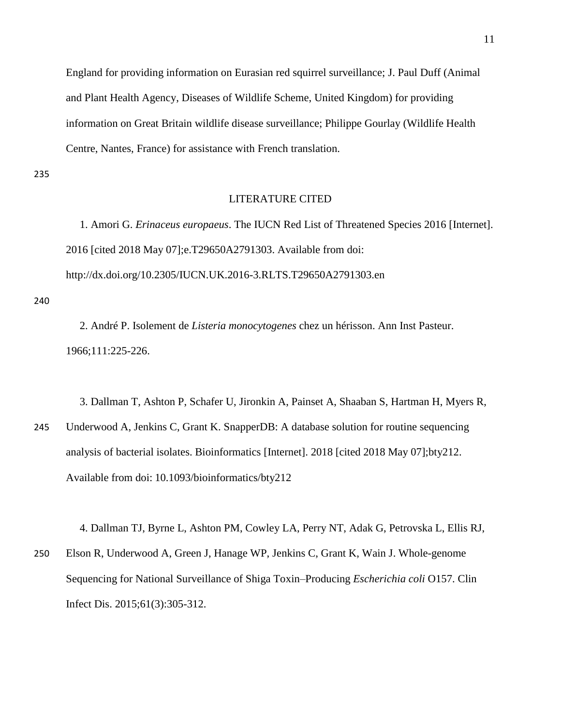England for providing information on Eurasian red squirrel surveillance; J. Paul Duff (Animal and Plant Health Agency, Diseases of Wildlife Scheme, United Kingdom) for providing information on Great Britain wildlife disease surveillance; Philippe Gourlay (Wildlife Health Centre, Nantes, France) for assistance with French translation.

235

## LITERATURE CITED

 1. Amori G. *Erinaceus europaeus*. The IUCN Red List of Threatened Species 2016 [Internet]. 2016 [cited 2018 May 07];e.T29650A2791303. Available from doi: http://dx.doi.org/10.2305/IUCN.UK.2016-3.RLTS.T29650A2791303.en

240

 2. André P. Isolement de *Listeria monocytogenes* chez un hérisson. Ann Inst Pasteur. 1966;111:225-226.

 3. Dallman T, Ashton P, Schafer U, Jironkin A, Painset A, Shaaban S, Hartman H, Myers R, 245 Underwood A, Jenkins C, Grant K. SnapperDB: A database solution for routine sequencing analysis of bacterial isolates. Bioinformatics [Internet]. 2018 [cited 2018 May 07];bty212. Available from doi: 10.1093/bioinformatics/bty212

 4. Dallman TJ, Byrne L, Ashton PM, Cowley LA, Perry NT, Adak G, Petrovska L, Ellis RJ, 250 Elson R, Underwood A, Green J, Hanage WP, Jenkins C, Grant K, Wain J. Whole-genome Sequencing for National Surveillance of Shiga Toxin–Producing *Escherichia coli* O157. Clin Infect Dis. 2015;61(3):305-312.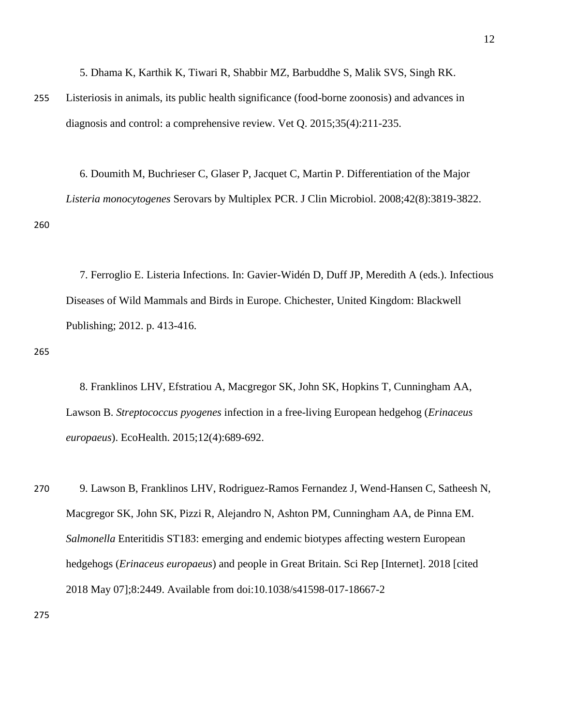5. Dhama K, Karthik K, Tiwari R, Shabbir MZ, Barbuddhe S, Malik SVS, Singh RK.

255 Listeriosis in animals, its public health significance (food-borne zoonosis) and advances in diagnosis and control: a comprehensive review. Vet Q. 2015;35(4):211-235.

 6. Doumith M, Buchrieser C, Glaser P, Jacquet C, Martin P. Differentiation of the Major *Listeria monocytogenes* Serovars by Multiplex PCR. J Clin Microbiol. 2008;42(8):3819-3822. 260

 7. Ferroglio E. Listeria Infections. In: Gavier-Widén D, Duff JP, Meredith A (eds.). Infectious Diseases of Wild Mammals and Birds in Europe. Chichester, United Kingdom: Blackwell Publishing; 2012. p. 413-416.

265

 8. Franklinos LHV, Efstratiou A, Macgregor SK, John SK, Hopkins T, Cunningham AA, Lawson B. *Streptococcus pyogenes* infection in a free-living European hedgehog (*Erinaceus europaeus*). EcoHealth. 2015;12(4):689-692.

270 9. Lawson B, Franklinos LHV, Rodriguez-Ramos Fernandez J, Wend-Hansen C, Satheesh N, Macgregor SK, John SK, Pizzi R, Alejandro N, Ashton PM, Cunningham AA, de Pinna EM. *Salmonella* Enteritidis ST183: emerging and endemic biotypes affecting western European hedgehogs (*Erinaceus europaeus*) and people in Great Britain. Sci Rep [Internet]. 2018 [cited 2018 May 07];8:2449. Available from doi:10.1038/s41598-017-18667-2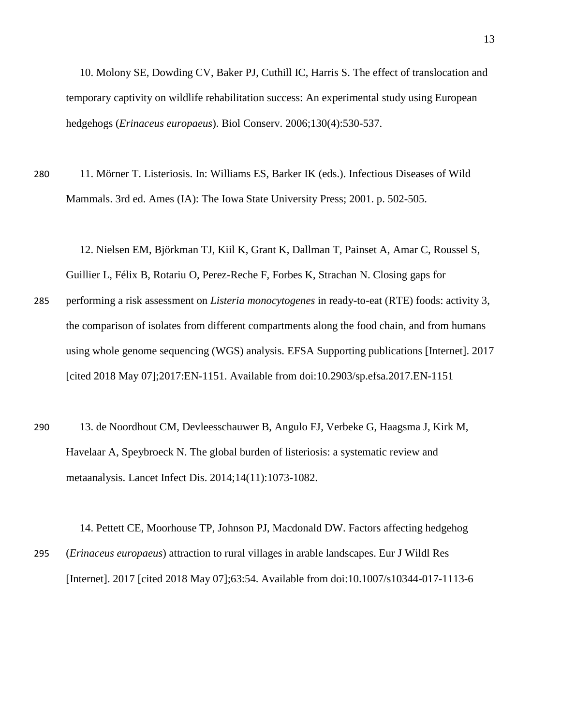10. Molony SE, Dowding CV, Baker PJ, Cuthill IC, Harris S. The effect of translocation and temporary captivity on wildlife rehabilitation success: An experimental study using European hedgehogs (*Erinaceus europaeus*). Biol Conserv. 2006;130(4):530-537.

280 11. Mörner T. Listeriosis. In: Williams ES, Barker IK (eds.). Infectious Diseases of Wild Mammals. 3rd ed. Ames (IA): The Iowa State University Press; 2001. p. 502-505.

 12. Nielsen EM, Björkman TJ, Kiil K, Grant K, Dallman T, Painset A, Amar C, Roussel S, Guillier L, Félix B, Rotariu O, Perez-Reche F, Forbes K, Strachan N. Closing gaps for

- 285 performing a risk assessment on *Listeria monocytogenes* in ready-to-eat (RTE) foods: activity 3, the comparison of isolates from different compartments along the food chain, and from humans using whole genome sequencing (WGS) analysis. EFSA Supporting publications [Internet]. 2017 [cited 2018 May 07];2017:EN-1151. Available from doi:10.2903/sp.efsa.2017.EN-1151
- 290 13. de Noordhout CM, Devleesschauwer B, Angulo FJ, Verbeke G, Haagsma J, Kirk M, Havelaar A, Speybroeck N. The global burden of listeriosis: a systematic review and metaanalysis. Lancet Infect Dis. 2014;14(11):1073-1082.

 14. Pettett CE, Moorhouse TP, Johnson PJ, Macdonald DW. Factors affecting hedgehog 295 (*Erinaceus europaeus*) attraction to rural villages in arable landscapes. Eur J Wildl Res [Internet]. 2017 [cited 2018 May 07];63:54. Available from doi:10.1007/s10344-017-1113-6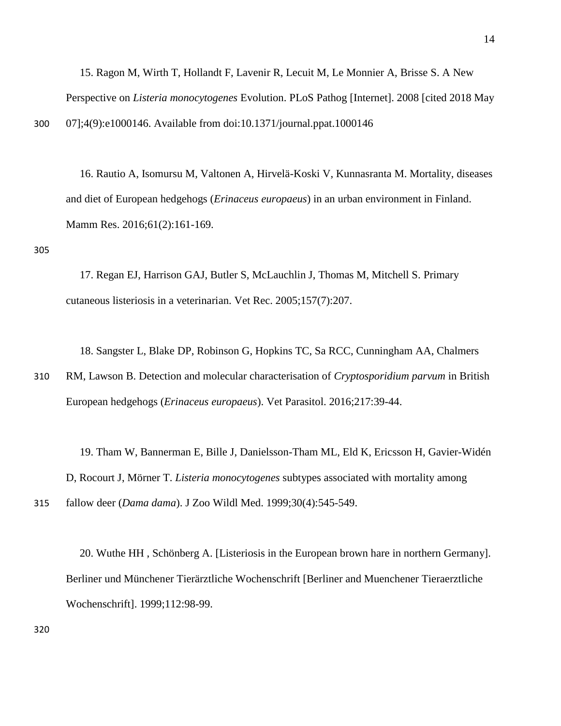15. Ragon M, Wirth T, Hollandt F, Lavenir R, Lecuit M, Le Monnier A, Brisse S. A New Perspective on *Listeria monocytogenes* Evolution. PLoS Pathog [Internet]. 2008 [cited 2018 May 300 07];4(9):e1000146. Available from doi:10.1371/journal.ppat.1000146

 16. Rautio A, Isomursu M, Valtonen A, Hirvelä-Koski V, Kunnasranta M. Mortality, diseases and diet of European hedgehogs (*Erinaceus europaeus*) in an urban environment in Finland. Mamm Res. 2016;61(2):161-169.

305

 17. Regan EJ, Harrison GAJ, Butler S, McLauchlin J, Thomas M, Mitchell S. Primary cutaneous listeriosis in a veterinarian. Vet Rec. 2005;157(7):207.

18. Sangster L, Blake DP, Robinson G, Hopkins TC, Sa RCC, Cunningham AA, Chalmers

310 RM, Lawson B. Detection and molecular characterisation of *Cryptosporidium parvum* in British European hedgehogs (*Erinaceus europaeus*). Vet Parasitol. 2016;217:39-44.

 19. Tham W, Bannerman E, Bille J, Danielsson-Tham ML, Eld K, Ericsson H, Gavier-Widén D, Rocourt J, Mörner T. *Listeria monocytogenes* subtypes associated with mortality among

315 fallow deer (*Dama dama*). J Zoo Wildl Med. 1999;30(4):545-549.

 20. Wuthe HH , Schönberg A. [Listeriosis in the European brown hare in northern Germany]. Berliner und Münchener Tierärztliche Wochenschrift [Berliner and Muenchener Tieraerztliche Wochenschrift]. 1999;112:98-99.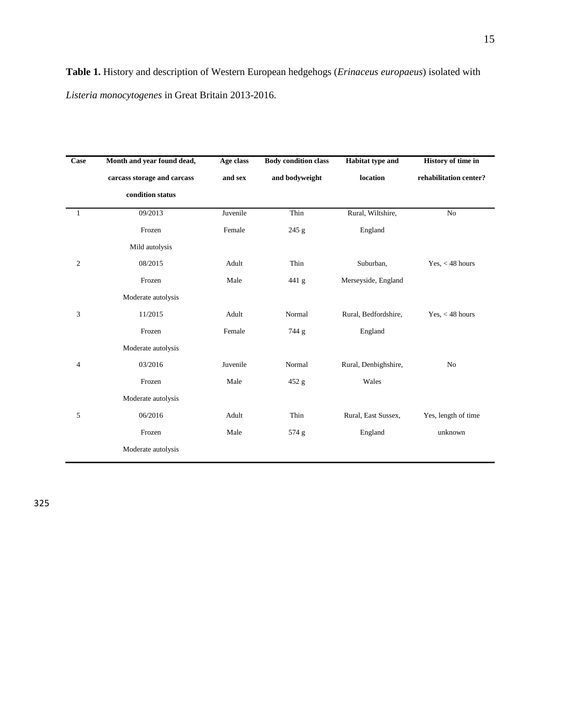**Table 1.** History and description of Western European hedgehogs (*Erinaceus europaeus*) isolated with *Listeria monocytogenes* in Great Britain 2013-2016.

| Case             | Month and year found dead,  | Age class | <b>Body condition class</b> | <b>Habitat type and</b> | History of time in     |
|------------------|-----------------------------|-----------|-----------------------------|-------------------------|------------------------|
|                  | carcass storage and carcass | and sex   | and bodyweight              | location                | rehabilitation center? |
|                  | condition status            |           |                             |                         |                        |
| 1                | 09/2013                     | Juvenile  | Thin                        | Rural, Wiltshire,       | No                     |
|                  | Frozen                      | Female    | 245 g                       | England                 |                        |
|                  | Mild autolysis              |           |                             |                         |                        |
| $\boldsymbol{2}$ | 08/2015                     | Adult     | Thin                        | Suburban,               | Yes, $<$ 48 hours      |
|                  | Frozen                      | Male      | 441 g                       | Merseyside, England     |                        |
|                  | Moderate autolysis          |           |                             |                         |                        |
| 3                | 11/2015                     | Adult     | Normal                      | Rural, Bedfordshire,    | Yes, $<$ 48 hours      |
|                  | Frozen                      | Female    | 744 g                       | England                 |                        |
|                  | Moderate autolysis          |           |                             |                         |                        |
| 4                | 03/2016                     | Juvenile  | Normal                      | Rural, Denbighshire,    | No                     |
|                  | Frozen                      | Male      | 452 g                       | Wales                   |                        |
|                  | Moderate autolysis          |           |                             |                         |                        |
| 5                | 06/2016                     | Adult     | Thin                        | Rural, East Sussex,     | Yes, length of time    |
|                  | Frozen                      | Male      | 574 g                       | England                 | unknown                |
|                  | Moderate autolysis          |           |                             |                         |                        |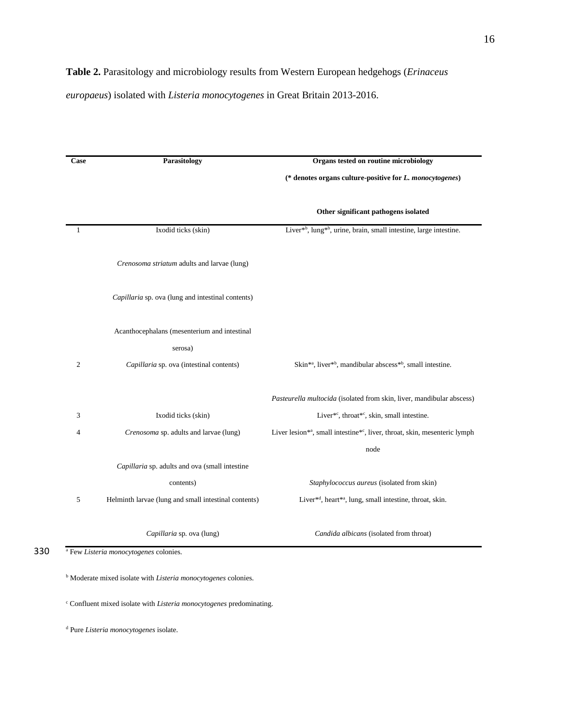*europaeus*) isolated with *Listeria monocytogenes* in Great Britain 2013-2016.

| Case           | <b>Parasitology</b>                                  | Organs tested on routine microbiology                                                              |  |  |
|----------------|------------------------------------------------------|----------------------------------------------------------------------------------------------------|--|--|
|                |                                                      | (* denotes organs culture-positive for L. monocytogenes)                                           |  |  |
|                |                                                      | Other significant pathogens isolated                                                               |  |  |
| $\mathbf{1}$   | Ixodid ticks (skin)                                  | Liver* <sup>b</sup> , lung* <sup>b</sup> , urine, brain, small intestine, large intestine.         |  |  |
|                | Crenosoma striatum adults and larvae (lung)          |                                                                                                    |  |  |
|                | Capillaria sp. ova (lung and intestinal contents)    |                                                                                                    |  |  |
|                | Acanthocephalans (mesenterium and intestinal         |                                                                                                    |  |  |
|                | serosa)                                              |                                                                                                    |  |  |
| $\overline{2}$ | Capillaria sp. ova (intestinal contents)             | Skin <sup>*a</sup> , liver <sup>*b</sup> , mandibular abscess <sup>*b</sup> , small intestine.     |  |  |
|                |                                                      | Pasteurella multocida (isolated from skin, liver, mandibular abscess)                              |  |  |
| 3              | Ixodid ticks (skin)                                  | Liver*c, throat*c, skin, small intestine.                                                          |  |  |
| 4              | Crenosoma sp. adults and larvae (lung)               | Liver lesion <sup>**</sup> , small intestine <sup>*c</sup> , liver, throat, skin, mesenteric lymph |  |  |
|                |                                                      | node                                                                                               |  |  |
|                | Capillaria sp. adults and ova (small intestine       |                                                                                                    |  |  |
|                | contents)                                            | Staphylococcus aureus (isolated from skin)                                                         |  |  |
| 5              | Helminth larvae (lung and small intestinal contents) | Liver <sup>*d</sup> , heart <sup>*a</sup> , lung, small intestine, throat, skin.                   |  |  |
|                | Capillaria sp. ova (lung)                            | Candida albicans (isolated from throat)                                                            |  |  |

<sup>c</sup> Confluent mixed isolate with *Listeria monocytogenes* predominating.

<sup>d</sup> Pure *Listeria monocytogenes* isolate.

<sup>a</sup> 330 Few *Listeria monocytogenes* colonies.